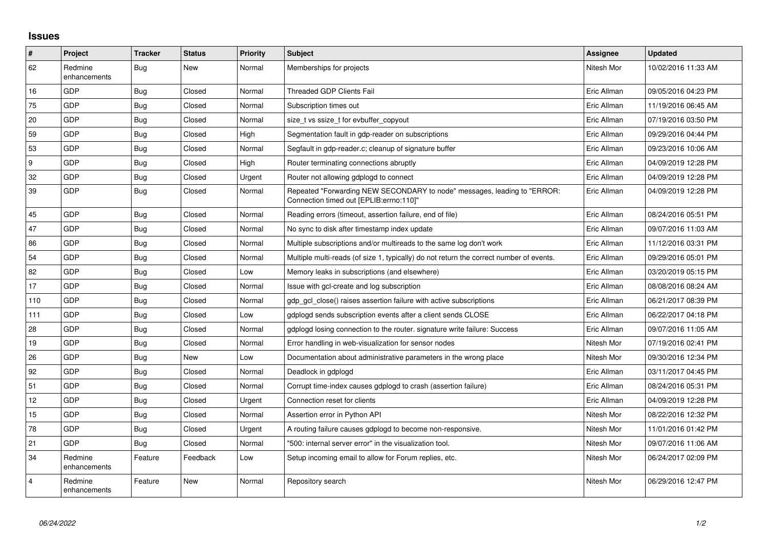## **Issues**

| #              | Project                 | <b>Tracker</b> | <b>Status</b> | <b>Priority</b> | <b>Subject</b>                                                                                                      | <b>Assignee</b> | <b>Updated</b>      |
|----------------|-------------------------|----------------|---------------|-----------------|---------------------------------------------------------------------------------------------------------------------|-----------------|---------------------|
| 62             | Redmine<br>enhancements | <b>Bug</b>     | <b>New</b>    | Normal          | Memberships for projects                                                                                            | Nitesh Mor      | 10/02/2016 11:33 AM |
| 16             | GDP                     | Bug            | Closed        | Normal          | <b>Threaded GDP Clients Fail</b>                                                                                    | Eric Allman     | 09/05/2016 04:23 PM |
| 75             | GDP                     | Bug            | Closed        | Normal          | Subscription times out                                                                                              | Eric Allman     | 11/19/2016 06:45 AM |
| 20             | GDP                     | <b>Bug</b>     | Closed        | Normal          | size t vs ssize t for evbuffer copyout                                                                              | Eric Allman     | 07/19/2016 03:50 PM |
| 59             | GDP                     | <b>Bug</b>     | Closed        | High            | Segmentation fault in gdp-reader on subscriptions                                                                   | Eric Allman     | 09/29/2016 04:44 PM |
| 53             | GDP                     | Bug            | Closed        | Normal          | Segfault in gdp-reader.c; cleanup of signature buffer                                                               | Eric Allman     | 09/23/2016 10:06 AM |
| 9              | GDP                     | Bug            | Closed        | High            | Router terminating connections abruptly                                                                             | Eric Allman     | 04/09/2019 12:28 PM |
| 32             | GDP                     | Bug            | Closed        | Urgent          | Router not allowing gdplogd to connect                                                                              | Eric Allman     | 04/09/2019 12:28 PM |
| 39             | GDP                     | <b>Bug</b>     | Closed        | Normal          | Repeated "Forwarding NEW SECONDARY to node" messages, leading to "ERROR:<br>Connection timed out [EPLIB:errno:110]" | Eric Allman     | 04/09/2019 12:28 PM |
| 45             | GDP                     | Bug            | Closed        | Normal          | Reading errors (timeout, assertion failure, end of file)                                                            | Eric Allman     | 08/24/2016 05:51 PM |
| 47             | GDP                     | <b>Bug</b>     | Closed        | Normal          | No sync to disk after timestamp index update                                                                        | Eric Allman     | 09/07/2016 11:03 AM |
| 86             | GDP                     | Bug            | Closed        | Normal          | Multiple subscriptions and/or multireads to the same log don't work                                                 | Eric Allman     | 11/12/2016 03:31 PM |
| 54             | <b>GDP</b>              | <b>Bug</b>     | Closed        | Normal          | Multiple multi-reads (of size 1, typically) do not return the correct number of events.                             | Eric Allman     | 09/29/2016 05:01 PM |
| 82             | GDP                     | <b>Bug</b>     | Closed        | Low             | Memory leaks in subscriptions (and elsewhere)                                                                       | Eric Allman     | 03/20/2019 05:15 PM |
| 17             | GDP                     | <b>Bug</b>     | Closed        | Normal          | Issue with gcl-create and log subscription                                                                          | Eric Allman     | 08/08/2016 08:24 AM |
| 110            | GDP                     | Bug            | Closed        | Normal          | adp acl close() raises assertion failure with active subscriptions                                                  | Eric Allman     | 06/21/2017 08:39 PM |
| 111            | GDP                     | <b>Bug</b>     | Closed        | Low             | gdplogd sends subscription events after a client sends CLOSE                                                        | Eric Allman     | 06/22/2017 04:18 PM |
| 28             | GDP                     | Bug            | Closed        | Normal          | gdplogd losing connection to the router, signature write failure: Success                                           | Eric Allman     | 09/07/2016 11:05 AM |
| 19             | GDP                     | <b>Bug</b>     | Closed        | Normal          | Error handling in web-visualization for sensor nodes                                                                | Nitesh Mor      | 07/19/2016 02:41 PM |
| 26             | GDP                     | Bug            | New           | Low             | Documentation about administrative parameters in the wrong place                                                    | Nitesh Mor      | 09/30/2016 12:34 PM |
| 92             | GDP                     | <b>Bug</b>     | Closed        | Normal          | Deadlock in gdplogd                                                                                                 | Eric Allman     | 03/11/2017 04:45 PM |
| 51             | GDP                     | <b>Bug</b>     | Closed        | Normal          | Corrupt time-index causes gdplogd to crash (assertion failure)                                                      | Eric Allman     | 08/24/2016 05:31 PM |
| $12 \,$        | GDP                     | Bug            | Closed        | Urgent          | Connection reset for clients                                                                                        | Eric Allman     | 04/09/2019 12:28 PM |
| 15             | <b>GDP</b>              | Bug            | Closed        | Normal          | Assertion error in Python API                                                                                       | Nitesh Mor      | 08/22/2016 12:32 PM |
| 78             | GDP                     | <b>Bug</b>     | Closed        | Urgent          | A routing failure causes gdplogd to become non-responsive.                                                          | Nitesh Mor      | 11/01/2016 01:42 PM |
| 21             | <b>GDP</b>              | Bug            | Closed        | Normal          | '500: internal server error" in the visualization tool.                                                             | Nitesh Mor      | 09/07/2016 11:06 AM |
| 34             | Redmine<br>enhancements | Feature        | Feedback      | Low             | Setup incoming email to allow for Forum replies, etc.                                                               | Nitesh Mor      | 06/24/2017 02:09 PM |
| $\overline{4}$ | Redmine<br>enhancements | Feature        | New           | Normal          | Repository search                                                                                                   | Nitesh Mor      | 06/29/2016 12:47 PM |